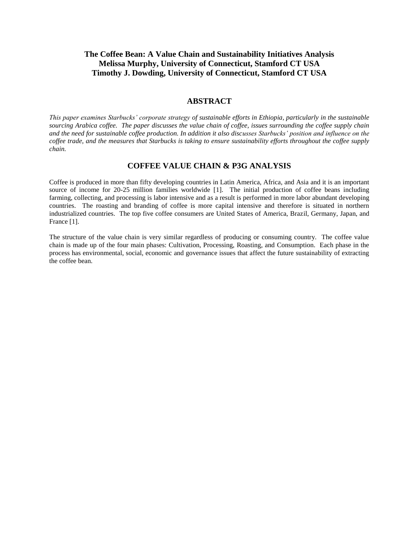# **The Coffee Bean: A Value Chain and Sustainability Initiatives Analysis Melissa Murphy, University of Connecticut, Stamford CT USA Timothy J. Dowding, University of Connecticut, Stamford CT USA**

## **ABSTRACT**

*This paper examines Starbucks' corporate strategy of sustainable efforts in Ethiopia, particularly in the sustainable sourcing Arabica coffee. The paper discusses the value chain of coffee, issues surrounding the coffee supply chain and the need for sustainable coffee production. In addition it also discusses Starbucks' position and influence on the coffee trade, and the measures that Starbucks is taking to ensure sustainability efforts throughout the coffee supply chain.*

### **COFFEE VALUE CHAIN & P3G ANALYSIS**

Coffee is produced in more than fifty developing countries in Latin America, Africa, and Asia and it is an important source of income for 20-25 million families worldwide [1]. The initial production of coffee beans including farming, collecting, and processing is labor intensive and as a result is performed in more labor abundant developing countries. The roasting and branding of coffee is more capital intensive and therefore is situated in northern industrialized countries. The top five coffee consumers are United States of America, Brazil, Germany, Japan, and France [1].

The structure of the value chain is very similar regardless of producing or consuming country. The coffee value chain is made up of the four main phases: Cultivation, Processing, Roasting, and Consumption. Each phase in the process has environmental, social, economic and governance issues that affect the future sustainability of extracting the coffee bean.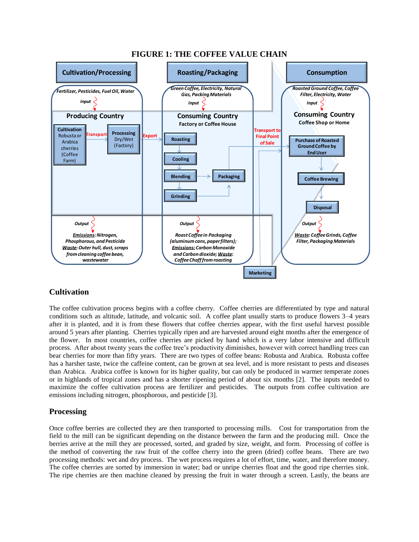

# **FIGURE 1: THE COFFEE VALUE CHAIN**

# **Cultivation**

The coffee cultivation process begins with a coffee cherry. Coffee cherries are differentiated by type and natural conditions such as altitude, latitude, and volcanic soil. A coffee plant usually starts to produce flowers 3–4 years after it is planted, and it is from these flowers that coffee cherries appear, with the first useful harvest possible around 5 years after planting. Cherries typically ripen and are harvested around eight months after the emergence of the flower. In most countries, coffee cherries are picked by hand which is a very labor intensive and difficult process. After about twenty years the coffee tree's productivity diminishes, however with correct handling trees can bear cherries for more than fifty years. There are two types of coffee beans: Robusta and Arabica. Robusta coffee has a harsher taste, twice the caffeine content, can be grown at sea level, and is more resistant to pests and diseases than Arabica. Arabica coffee is known for its higher quality, but can only be produced in warmer temperate zones or in highlands of tropical zones and has a shorter ripening period of about six months [2]. The inputs needed to maximize the coffee cultivation process are fertilizer and pesticides. The outputs from coffee cultivation are emissions including nitrogen, phosphorous, and pesticide [3].

# **Processing**

Once coffee berries are collected they are then transported to processing mills. Cost for transportation from the field to the mill can be significant depending on the distance between the farm and the producing mill. Once the berries arrive at the mill they are processed, sorted, and graded by size, weight, and form. Processing of coffee is the method of converting the raw fruit of the coffee cherry into the green (dried) coffee beans. There are two processing methods: wet and dry process. The wet process requires a lot of effort, time, water, and therefore money. The coffee cherries are sorted by immersion in water; bad or unripe cherries float and the good ripe cherries sink. The ripe cherries are then machine cleaned by pressing the fruit in water through a screen. Lastly, the beans are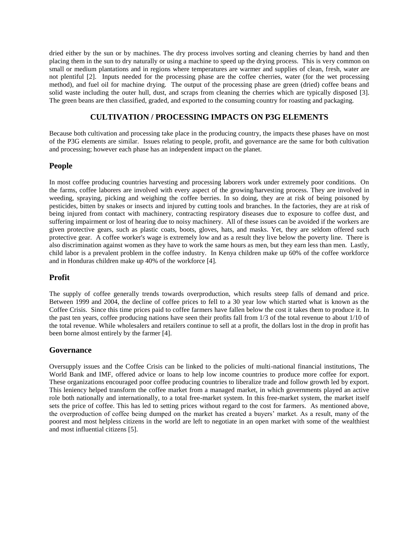dried either by the sun or by machines. The dry process involves sorting and cleaning cherries by hand and then placing them in the sun to dry naturally or using a machine to speed up the drying process. This is very common on small or medium plantations and in regions where temperatures are warmer and supplies of clean, fresh, water are not plentiful [2]. Inputs needed for the processing phase are the coffee cherries, water (for the wet processing method), and fuel oil for machine drying. The output of the processing phase are green (dried) coffee beans and solid waste including the outer hull, dust, and scraps from cleaning the cherries which are typically disposed [3]. The green beans are then classified, graded, and exported to the consuming country for roasting and packaging.

# **CULTIVATION / PROCESSING IMPACTS ON P3G ELEMENTS**

Because both cultivation and processing take place in the producing country, the impacts these phases have on most of the P3G elements are similar. Issues relating to people, profit, and governance are the same for both cultivation and processing; however each phase has an independent impact on the planet.

### **People**

In most coffee producing countries harvesting and processing laborers work under extremely poor conditions. On the farms, coffee laborers are involved with every aspect of the growing/harvesting process. They are involved in weeding, spraying, picking and weighing the coffee berries. In so doing, they are at risk of being poisoned by pesticides, bitten by snakes or insects and injured by cutting tools and branches. In the factories, they are at risk of being injured from contact with machinery, contracting respiratory diseases due to exposure to coffee dust, and suffering impairment or lost of hearing due to noisy machinery. All of these issues can be avoided if the workers are given protective gears, such as plastic coats, boots, gloves, hats, and masks. Yet, they are seldom offered such protective gear. A coffee worker's wage is extremely low and as a result they live below the poverty line. There is also discrimination against women as they have to work the same hours as men, but they earn less than men. Lastly, child labor is a prevalent problem in the coffee industry. In Kenya children make up 60% of the coffee workforce and in Honduras children make up 40% of the workforce [4].

## **Profit**

The supply of coffee generally trends towards overproduction, which results steep falls of demand and price. Between 1999 and 2004, the decline of coffee prices to fell to a 30 year low which started what is known as the Coffee Crisis. Since this time prices paid to coffee farmers have fallen below the cost it takes them to produce it. In the past ten years, coffee producing nations have seen their profits fall from 1/3 of the total revenue to about 1/10 of the total revenue. While wholesalers and retailers continue to sell at a profit, the dollars lost in the drop in profit has been borne almost entirely by the farmer [4].

## **Governance**

Oversupply issues and the Coffee Crisis can be linked to the policies of multi-national financial institutions, The World Bank and IMF, offered advice or loans to help low income countries to produce more coffee for export. These organizations encouraged poor coffee producing countries to liberalize trade and follow growth led by export. This leniency helped transform the coffee market from a managed market, in which governments played an active role both nationally and internationally, to a total free-market system. In this free-market system, the market itself sets the price of coffee. This has led to setting prices without regard to the cost for farmers. As mentioned above, the overproduction of coffee being dumped on the market has created a buyers' market. As a result, many of the poorest and most helpless citizens in the world are left to negotiate in an open market with some of the wealthiest and most influential citizens [5].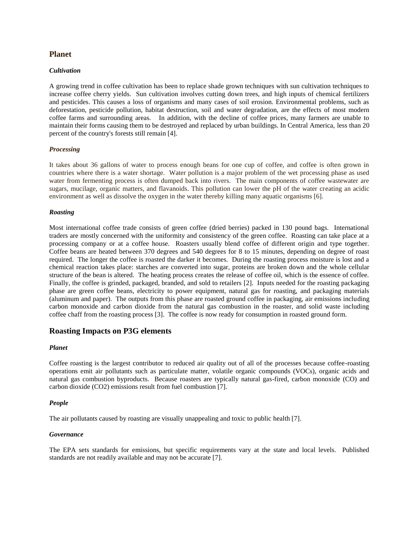### **Planet**

#### *Cultivation*

A growing trend in coffee cultivation has been to replace shade grown techniques with sun cultivation techniques to increase coffee cherry yields. Sun cultivation involves cutting down trees, and high inputs of chemical fertilizers and pesticides. This causes a loss of organisms and many cases of soil erosion. Environmental problems, such as deforestation, pesticide pollution, habitat destruction, soil and water degradation, are the effects of most modern coffee farms and surrounding areas. In addition, with the decline of coffee prices, many farmers are unable to maintain their forms causing them to be destroyed and replaced by urban buildings. In Central America, less than 20 percent of the country's forests still remain [4].

#### *Processing*

It takes about 36 gallons of water to process enough beans for one cup of coffee, and coffee is often grown in countries where there is a water shortage. Water pollution is a major problem of the wet processing phase as used water from fermenting process is often dumped back into rivers. The main components of coffee wastewater are sugars, mucilage, organic matters, and flavanoids. This pollution can lower the pH of the water creating an acidic environment as well as dissolve the oxygen in the water thereby killing many aquatic organisms [6].

#### *Roasting*

Most international coffee trade consists of green coffee (dried berries) packed in 130 pound bags. International traders are mostly concerned with the uniformity and consistency of the green coffee. Roasting can take place at a processing company or at a coffee house. Roasters usually blend coffee of different origin and type together. Coffee beans are heated between 370 degrees and 540 degrees for 8 to 15 minutes, depending on degree of roast required. The longer the coffee is roasted the darker it becomes. During the roasting process moisture is lost and a chemical reaction takes place: starches are converted into sugar, proteins are broken down and the whole cellular structure of the bean is altered. The heating process creates the release of coffee oil, which is the essence of coffee. Finally, the coffee is grinded, packaged, branded, and sold to retailers [2]. Inputs needed for the roasting packaging phase are green coffee beans, electricity to power equipment, natural gas for roasting, and packaging materials (aluminum and paper). The outputs from this phase are roasted ground coffee in packaging, air emissions including carbon monoxide and carbon dioxide from the natural gas combustion in the roaster, and solid waste including coffee chaff from the roasting process [3]. The coffee is now ready for consumption in roasted ground form.

### **Roasting Impacts on P3G elements**

#### *Planet*

Coffee roasting is the largest contributor to reduced air quality out of all of the processes because coffee-roasting operations emit air pollutants such as particulate matter, volatile organic compounds (VOCs), organic acids and natural gas combustion byproducts. Because roasters are typically natural gas-fired, [carbon monoxide](http://en.wikipedia.org/wiki/Carbon_monoxide) (CO) and [carbon dioxide](http://en.wikipedia.org/wiki/Carbon_dioxide) (CO2) emissions result from fuel combustion [7].

#### *People*

The air pollutants caused by roasting are visually unappealing and toxic to public [health](http://www.ehow.com/health/) [7].

#### *Governance*

The EPA sets standards for emissions, but specific requirements vary at the state and local levels. Published standards are not readily available and may not be accurate [7].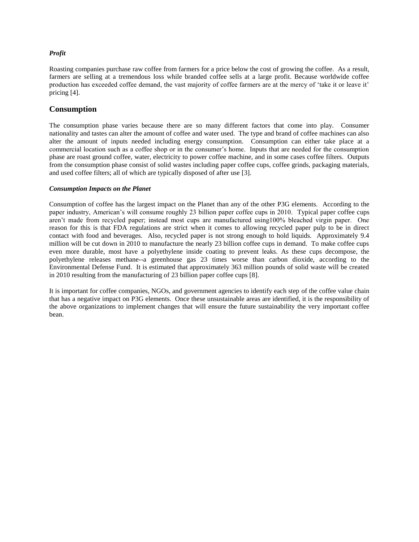### *Profit*

Roasting companies purchase raw coffee from farmers for a price below the cost of growing the coffee. As a result, farmers are selling at a tremendous loss while branded coffee sells at a large profit. Because worldwide coffee production has exceeded coffee demand, the vast majority of coffee farmers are at the mercy of 'take it or leave it' pricing [4].

### **Consumption**

The consumption phase varies because there are so many different factors that come into play. Consumer nationality and tastes can alter the amount of coffee and water used. The type and brand of coffee machines can also alter the amount of inputs needed including energy consumption. Consumption can either take place at a commercial location such as a coffee shop or in the consumer's home. Inputs that are needed for the consumption phase are roast ground coffee, water, electricity to power coffee machine, and in some cases coffee filters. Outputs from the consumption phase consist of solid wastes including paper coffee cups, coffee grinds, packaging materials, and used coffee filters; all of which are typically disposed of after use [3].

#### *Consumption Impacts on the Planet*

Consumption of coffee has the largest impact on the Planet than any of the other P3G elements. According to the paper industry, American's will consume roughly 23 billion paper coffee cups in 2010. Typical paper coffee cups aren't made from recycled paper; instead most cups are manufactured using100% bleached virgin paper. One reason for this is that FDA regulations are strict when it comes to allowing recycled paper pulp to be in direct contact with food and beverages. Also, recycled paper is not strong enough to hold liquids. Approximately 9.4 million will be cut down in 2010 to manufacture the nearly 23 billion coffee cups in demand. To make coffee cups even more durable, most have a polyethylene inside coating to prevent leaks. As these cups decompose, the polyethylene releases methane--a greenhouse gas 23 times worse than carbon dioxide, according to the Environmental Defense Fund. It is estimated that approximately 363 million pounds of solid waste will be created in 2010 resulting from the manufacturing of 23 billion paper coffee cups [8].

It is important for coffee companies, NGOs, and government agencies to identify each step of the coffee value chain that has a negative impact on P3G elements. Once these unsustainable areas are identified, it is the responsibility of the above organizations to implement changes that will ensure the future sustainability the very important coffee bean.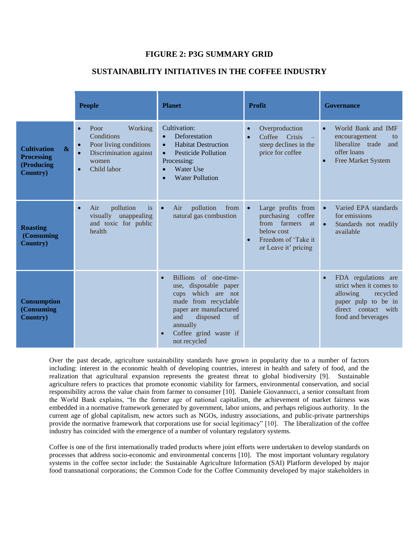# **FIGURE 2: P3G SUMMARY GRID**

# **SUSTAINABILITY INITIATIVES IN THE COFFEE INDUSTRY**

|                                                                                                | <b>People</b>                                                                                                          | <b>Planet</b>                                                                                                                                                                                                           | <b>Profit</b>                                                                                                                           | Governance                                                                                                                                              |  |
|------------------------------------------------------------------------------------------------|------------------------------------------------------------------------------------------------------------------------|-------------------------------------------------------------------------------------------------------------------------------------------------------------------------------------------------------------------------|-----------------------------------------------------------------------------------------------------------------------------------------|---------------------------------------------------------------------------------------------------------------------------------------------------------|--|
| $\boldsymbol{\&}$<br><b>Cultivation</b><br><b>Processing</b><br>(Producing<br><b>Country</b> ) | Working<br>Poor<br>Conditions<br>Poor living conditions<br>Discrimination against<br>$\bullet$<br>women<br>Child labor | Cultivation:<br>Deforestation<br>$\bullet$<br><b>Habitat Destruction</b><br>$\bullet$<br><b>Pesticide Pollution</b><br>$\bullet$<br>Processing:<br><b>Water Use</b><br>$\bullet$<br><b>Water Pollution</b><br>$\bullet$ | Overproduction<br>Coffee Crisis<br>steep declines in the<br>price for coffee                                                            | World Bank and IMF<br>$\bullet$<br>encouragement<br>to<br>liberalize trade<br>and<br>offer loans<br>Free Market System<br>$\bullet$                     |  |
| <b>Roasting</b><br>(Consuming<br><b>Country</b> )                                              | pollution<br>Air<br><i>is</i><br>$\bullet$<br>visually unappealing<br>and toxic for public<br>health                   | pollution<br>from<br>Air<br>$\bullet$<br>natural gas combustion                                                                                                                                                         | Large profits from<br>$\bullet$<br>purchasing coffee<br>from farmers<br>at<br>below cost<br>Freedom of 'Take it<br>or Leave it' pricing | Varied EPA standards<br>$\bullet$<br>for emissions<br>Standards not readily<br>$\bullet$<br>available                                                   |  |
| <b>Consumption</b><br>(Consuming<br><b>Country</b> )                                           |                                                                                                                        | Billions of one-time-<br>disposable paper<br>use.<br>which are not<br>cups<br>made from recyclable<br>paper are manufactured<br>and<br>disposed<br>of<br>annually<br>Coffee grind waste if<br>not recycled              |                                                                                                                                         | FDA regulations are<br>$\bullet$<br>strict when it comes to<br>allowing<br>recycled<br>paper pulp to be in<br>direct contact with<br>food and beverages |  |

Over the past decade, agriculture sustainability standards have grown in popularity due to a number of factors including: interest in the economic health of developing countries, interest in health and safety of food, and the realization that agricultural expansion represents the greatest threat to global biodiversity [9]. Sustainable agriculture refers to practices that promote economic viability for farmers, environmental conservation, and social responsibility across the value chain from farmer to consumer [10]. Daniele Giovannucci, a senior consultant from the World Bank explains, "In the former age of national capitalism, the achievement of market fairness was embedded in a normative framework generated by government, labor unions, and perhaps religious authority. In the current age of global capitalism, new actors such as NGOs, industry associations, and public-private partnerships provide the normative framework that corporations use for social legitimacy" [10]. The liberalization of the coffee industry has coincided with the emergence of a number of voluntary regulatory systems.

Coffee is one of the first internationally traded products where joint efforts were undertaken to develop standards on processes that address socio-economic and environmental concerns [10]. The most important voluntary regulatory systems in the coffee sector include: the Sustainable Agriculture Information (SAI) Platform developed by major food transnational corporations; the Common Code for the Coffee Community developed by major stakeholders in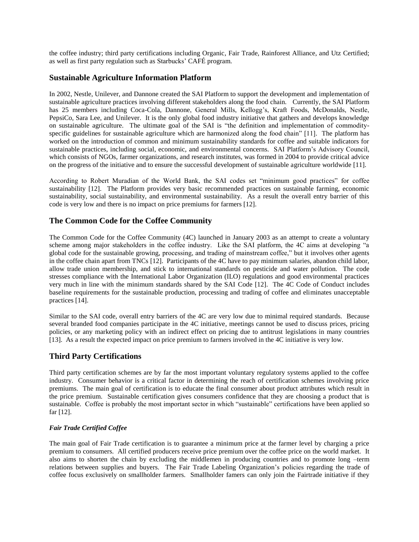the coffee industry; third party certifications including Organic, Fair Trade, Rainforest Alliance, and Utz Certified; as well as first party regulation such as Starbucks' CAFÉ program.

## **Sustainable Agriculture Information Platform**

In 2002, Nestle, Unilever, and Dannone created the SAI Platform to support the development and implementation of sustainable agriculture practices involving different stakeholders along the food chain. Currently, the SAI Platform has 25 members including Coca-Cola, Dannone, General Mills, Kellogg's, Kraft Foods, McDonalds, Nestle, PepsiCo, Sara Lee, and Unilever. It is the only global food industry initiative that gathers and develops knowledge on sustainable agriculture. The ultimate goal of the SAI is "the definition and implementation of commodityspecific guidelines for sustainable agriculture which are harmonized along the food chain" [11]. The platform has worked on the introduction of common and minimum sustainability standards for coffee and suitable indicators for sustainable practices, including social, economic, and environmental concerns. SAI Platform's Advisory Council, which consists of NGOs, farmer organizations, and research institutes, was formed in 2004 to provide critical advice on the progress of the initiative and to ensure the successful development of sustainable agriculture worldwide [11].

According to Robert Muradian of the World Bank, the SAI codes set "minimum good practices" for coffee sustainability [12]. The Platform provides very basic recommended practices on sustainable farming, economic sustainability, social sustainability, and environmental sustainability. As a result the overall entry barrier of this code is very low and there is no impact on price premiums for farmers [12].

# **The Common Code for the Coffee Community**

The Common Code for the Coffee Community (4C) launched in January 2003 as an attempt to create a voluntary scheme among major stakeholders in the coffee industry. Like the SAI platform, the 4C aims at developing "a global code for the sustainable growing, processing, and trading of mainstream coffee," but it involves other agents in the coffee chain apart from TNCs [12]. Participants of the 4C have to pay minimum salaries, abandon child labor, allow trade union membership, and stick to international standards on pesticide and water pollution. The code stresses compliance with the International Labor Organization (ILO) regulations and good environmental practices very much in line with the minimum standards shared by the SAI Code [12]. The 4C Code of Conduct includes baseline requirements for the sustainable production, processing and trading of coffee and eliminates unacceptable practices [14].

Similar to the SAI code, overall entry barriers of the 4C are very low due to minimal required standards. Because several branded food companies participate in the 4C initiative, meetings cannot be used to discuss prices, pricing policies, or any marketing policy with an indirect effect on pricing due to antitrust legislations in many countries [13]. As a result the expected impact on price premium to farmers involved in the 4C initiative is very low.

# **Third Party Certifications**

Third party certification schemes are by far the most important voluntary regulatory systems applied to the coffee industry. Consumer behavior is a critical factor in determining the reach of certification schemes involving price premiums. The main goal of certification is to educate the final consumer about product attributes which result in the price premium. Sustainable certification gives consumers confidence that they are choosing a product that is sustainable. Coffee is probably the most important sector in which "sustainable" certifications have been applied so far [12].

### *Fair Trade Certified Coffee*

The main goal of Fair Trade certification is to guarantee a minimum price at the farmer level by charging a price premium to consumers. All certified producers receive price premium over the coffee price on the world market. It also aims to shorten the chain by excluding the middlemen in producing countries and to promote long –term relations between supplies and buyers. The Fair Trade Labeling Organization's policies regarding the trade of coffee focus exclusively on smallholder farmers. Smallholder famers can only join the Fairtrade initiative if they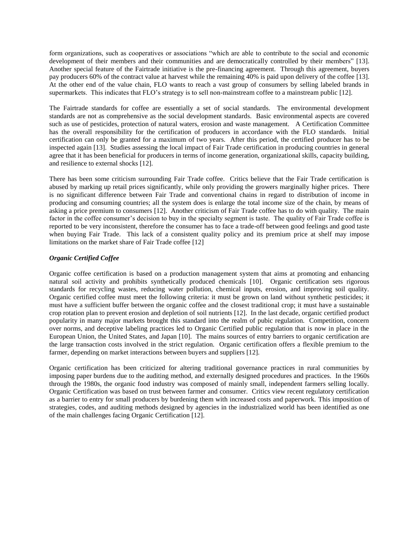form organizations, such as cooperatives or associations "which are able to contribute to the social and economic development of their members and their communities and are democratically controlled by their members" [13]. Another special feature of the Fairtrade initiative is the pre-financing agreement. Through this agreement, buyers pay producers 60% of the contract value at harvest while the remaining 40% is paid upon delivery of the coffee [13]. At the other end of the value chain, FLO wants to reach a vast group of consumers by selling labeled brands in supermarkets. This indicates that FLO's strategy is to sell non-mainstream coffee to a mainstream public [12].

The Fairtrade standards for coffee are essentially a set of social standards. The environmental development standards are not as comprehensive as the social development standards. Basic environmental aspects are covered such as use of pesticides, protection of natural waters, erosion and waste management. A Certification Committee has the overall responsibility for the certification of producers in accordance with the FLO standards. Initial certification can only be granted for a maximum of two years. After this period, the certified producer has to be inspected again [13]. Studies assessing the local impact of Fair Trade certification in producing countries in general agree that it has been beneficial for producers in terms of income generation, organizational skills, capacity building, and resilience to external shocks [12].

There has been some criticism surrounding Fair Trade coffee. Critics believe that the Fair Trade certification is abused by marking up retail prices significantly, while only providing the growers marginally higher prices. There is no significant difference between Fair Trade and conventional chains in regard to distribution of income in producing and consuming countries; all the system does is enlarge the total income size of the chain, by means of asking a price premium to consumers [12]. Another criticism of Fair Trade coffee has to do with quality. The main factor in the coffee consumer's decision to buy in the specialty segment is taste. The quality of Fair Trade coffee is reported to be very inconsistent, therefore the consumer has to face a trade-off between good feelings and good taste when buying Fair Trade. This lack of a consistent quality policy and its premium price at shelf may impose limitations on the market share of Fair Trade coffee [12]

### *Organic Certified Coffee*

Organic coffee certification is based on a production management system that aims at promoting and enhancing natural soil activity and prohibits synthetically produced chemicals [10]. Organic certification sets rigorous standards for recycling wastes, reducing water pollution, chemical inputs, erosion, and improving soil quality. Organic certified coffee must meet the following criteria: it must be grown on land without synthetic pesticides; it must have a sufficient buffer between the organic coffee and the closest traditional crop; it must have a sustainable crop rotation plan to prevent erosion and depletion of soil nutrients [12]. In the last decade, organic certified product popularity in many major markets brought this standard into the realm of pubic regulation. Competition, concern over norms, and deceptive labeling practices led to Organic Certified public regulation that is now in place in the European Union, the United States, and Japan [10]. The mains sources of entry barriers to organic certification are the large transaction costs involved in the strict regulation. Organic certification offers a flexible premium to the farmer, depending on market interactions between buyers and suppliers [12].

Organic certification has been criticized for altering traditional governance practices in rural communities by imposing paper burdens due to the auditing method, and externally designed procedures and practices. In the 1960s through the 1980s, the organic food industry was composed of mainly small, independent farmers selling locally. Organic Certification was based on trust between farmer and consumer. Critics view recent regulatory certification as a barrier to entry for small producers by burdening them with increased costs and paperwork. This imposition of strategies, codes, and auditing methods designed by agencies in the industrialized world has been identified as one of the main challenges facing Organic Certification [12].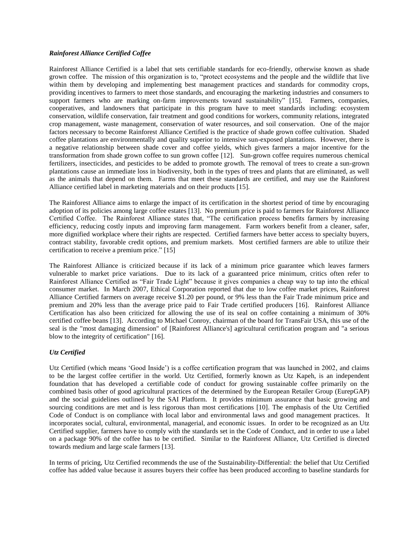#### *Rainforest Alliance Certified Coffee*

Rainforest Alliance Certified is a label that sets certifiable standards for eco-friendly, otherwise known as shade grown coffee. The mission of this organization is to, "protect ecosystems and the people and the wildlife that live within them by developing and implementing best management practices and standards for commodity crops, providing incentives to farmers to meet those standards, and encouraging the marketing industries and consumers to support farmers who are marking on-farm improvements toward sustainability" [15]. Farmers, companies, cooperatives, and landowners that participate in this program have to meet standards including: ecosystem conservation, wildlife conservation, fair treatment and good conditions for workers, community relations, integrated crop management, waste management, conservation of water resources, and soil conservation. One of the major factors necessary to become Rainforest Alliance Certified is the practice of shade grown coffee cultivation. Shaded coffee plantations are environmentally and quality superior to intensive sun-exposed plantations. However, there is a negative relationship between shade cover and coffee yields, which gives farmers a major incentive for the transformation from shade grown coffee to sun grown coffee [12]. Sun-grown coffee requires numerous chemical fertilizers, insecticides, and pesticides to be added to promote growth. The removal of trees to create a sun-grown plantations cause an immediate loss in biodiversity, both in the types of trees and plants that are eliminated, as well as the animals that depend on them. Farms that meet these standards are certified, and may use the Rainforest Alliance certified label in marketing materials and on their products [15].

The Rainforest Alliance aims to enlarge the impact of its certification in the shortest period of time by encouraging adoption of its policies among large coffee estates [13]. No premium price is paid to farmers for Rainforest Alliance Certified Coffee. The Rainforest Alliance states that, "The certification process benefits farmers by increasing efficiency, reducing costly inputs and improving farm management. Farm workers benefit from a cleaner, safer, more dignified workplace where their rights are respected. Certified farmers have better access to specialty buyers, contract stability, favorable credit options, and premium markets. Most certified farmers are able to utilize their certification to receive a premium price." [15]

The Rainforest Alliance is criticized because if its lack of a minimum price guarantee which leaves farmers vulnerable to market price variations. Due to its lack of a guaranteed price minimum, critics often refer to Rainforest Alliance Certified as "Fair Trade Light" because it gives companies a cheap way to tap into the ethical consumer market. In March 2007, Ethical Corporation reported that due to low coffee market prices, Rainforest Alliance Certified farmers on average receive \$1.20 per pound, or 9% less than the Fair Trade minimum price and premium and 20% less than the average price paid to Fair Trade certified producers [16]. Rainforest Alliance Certification has also been criticized for allowing the use of its seal on coffee containing a minimum of 30% certified coffee beans [13]. According to Michael Conroy, chairman of the board for TransFair USA, this use of the seal is the "most damaging dimension" of [Rainforest Alliance's] agricultural certification program and "a serious blow to the integrity of certification" [16].

### *Utz Certified*

Utz Certified (which means 'Good Inside') is a coffee certification program that was launched in 2002, and claims to be the largest coffee certifier in the world. Utz Certified, formerly known as Utz Kapeh, is an independent foundation that has developed a certifiable code of conduct for growing sustainable coffee primarily on the combined basis other of good agricultural practices of the determined by the European Retailer Group (EurepGAP) and the social guidelines outlined by the SAI Platform. It provides minimum assurance that basic growing and sourcing conditions are met and is less rigorous than most certifications [10]. The emphasis of the Utz Certified Code of Conduct is on compliance with local labor and environmental laws and good management practices. It incorporates social, cultural, environmental, managerial, and economic issues. In order to be recognized as an Utz Certified supplier, farmers have to comply with the standards set in the Code of Conduct, and in order to use a label on a package 90% of the coffee has to be certified. Similar to the Rainforest Alliance, Utz Certified is directed towards medium and large scale farmers [13].

In terms of pricing, Utz Certified recommends the use of the Sustainability-Differential: the belief that Utz Certified coffee has added value because it assures buyers their coffee has been produced according to baseline standards for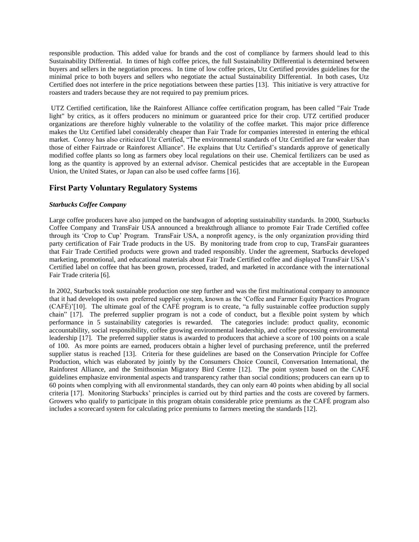responsible production. This added value for brands and the cost of compliance by farmers should lead to this Sustainability Differential. In times of high coffee prices, the full Sustainability Differential is determined between buyers and sellers in the negotiation process. In time of low coffee prices, Utz Certified provides guidelines for the minimal price to both buyers and sellers who negotiate the actual Sustainability Differential. In both cases, Utz Certified does not interfere in the price negotiations between these parties [13]. This initiative is very attractive for roasters and traders because they are not required to pay premium prices.

UTZ Certified certification, like the Rainforest Alliance coffee certification program, has been called "Fair Trade light" by critics, as it offers producers no minimum or guaranteed price for their crop. UTZ certified producer organizations are therefore highly vulnerable to the volatility of the coffee market. This major price difference makes the Utz Certified label considerably cheaper than Fair Trade for companies interested in entering the ethical market. Conroy has also criticized Utz Certified, "The environmental standards of Utz Certified are far weaker than those of either Fairtrade or Rainforest Alliance". He explains that Utz Certified's standards approve of genetically modified coffee plants so long as farmers obey local regulations on their use. Chemical fertilizers can be used as long as the quantity is approved by an external advisor. Chemical pesticides that are acceptable in the European Union, the United States, or Japan can also be used coffee farms [16].

# **First Party Voluntary Regulatory Systems**

#### *Starbucks Coffee Company*

Large coffee producers have also jumped on the bandwagon of adopting sustainability standards. In 2000, Starbucks Coffee Company and TransFair USA announced a breakthrough alliance to promote Fair Trade Certified coffee through its 'Crop to Cup' Program. TransFair USA, a nonprofit agency, is the only organization providing third party certification of Fair Trade products in the US. By monitoring trade from crop to cup, TransFair guarantees that Fair Trade Certified products were grown and traded responsibly. Under the agreement, Starbucks developed marketing, promotional, and educational materials about Fair Trade Certified coffee and displayed TransFair USA's Certified label on coffee that has been grown, processed, traded, and marketed in accordance with the international Fair Trade criteria [6].

In 2002, Starbucks took sustainable production one step further and was the first multinational company to announce that it had developed its own preferred supplier system, known as the 'Coffee and Farmer Equity Practices Program (CAFÉ)'[10]. The ultimate goal of the CAFÉ program is to create, "a fully sustainable coffee production supply chain" [17]. The preferred supplier program is not a code of conduct, but a flexible point system by which performance in 5 sustainability categories is rewarded. The categories include: product quality, economic accountability, social responsibility, coffee growing environmental leadership, and coffee processing environmental leadership [17]. The preferred supplier status is awarded to producers that achieve a score of 100 points on a scale of 100. As more points are earned, producers obtain a higher level of purchasing preference, until the preferred supplier status is reached [13]. Criteria for these guidelines are based on the Conservation Principle for Coffee Production, which was elaborated by jointly by the Consumers Choice Council, Conversation International, the Rainforest Alliance, and the Smithsonian Migratory Bird Centre [12]. The point system based on the CAFÉ guidelines emphasize environmental aspects and transparency rather than social conditions; producers can earn up to 60 points when complying with all environmental standards, they can only earn 40 points when abiding by all social criteria [17]. Monitoring Starbucks' principles is carried out by third parties and the costs are covered by farmers. Growers who qualify to participate in this program obtain considerable price premiums as the CAFÉ program also includes a scorecard system for calculating price premiums to farmers meeting the standards [12].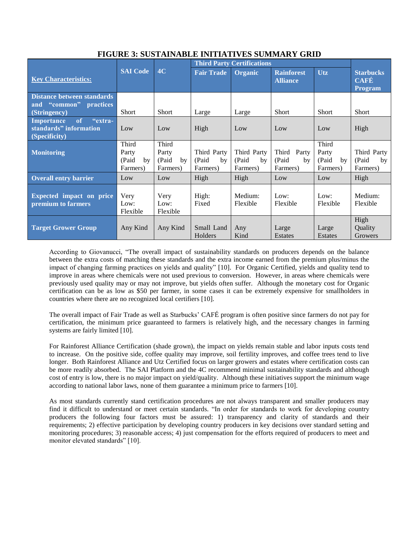|                                                                                          | <b>SAI Code</b>                            | 4C                                        | <b>Third Party Certifications</b>      |                                        |                                           |                                            |                                                   |
|------------------------------------------------------------------------------------------|--------------------------------------------|-------------------------------------------|----------------------------------------|----------------------------------------|-------------------------------------------|--------------------------------------------|---------------------------------------------------|
| <b>Key Characteristics:</b>                                                              |                                            |                                           | <b>Fair Trade</b>                      | Organic                                | <b>Rainforest</b><br><b>Alliance</b>      | <b>Utz</b>                                 | <b>Starbucks</b><br><b>CAFÉ</b><br><b>Program</b> |
| <b>Distance between standards</b><br>and "common"<br>practices                           |                                            |                                           |                                        |                                        |                                           |                                            |                                                   |
| (Stringency)                                                                             | <b>Short</b>                               | <b>Short</b>                              | Large                                  | Large                                  | <b>Short</b>                              | <b>Short</b>                               | <b>Short</b>                                      |
| <b>Importance</b><br><sub>of</sub><br>"extra-<br>standards" information<br>(Specificity) | Low                                        | Low                                       | High                                   | Low                                    | Low                                       | Low                                        | High                                              |
| <b>Monitoring</b>                                                                        | Third<br>Party<br>(Paid)<br>by<br>Farmers) | Third<br>Party<br>(Paid<br>by<br>Farmers) | Third Party<br>(Paid<br>by<br>Farmers) | Third Party<br>(Paid<br>by<br>Farmers) | Third<br>Party<br>(Paid<br>by<br>Farmers) | Third<br>Party<br>(Paid)<br>by<br>Farmers) | Third Party<br>(Paid<br>by<br>Farmers)            |
| <b>Overall entry barrier</b>                                                             | Low                                        | Low                                       | High                                   | High                                   | Low                                       | Low                                        | High                                              |
| Expected impact on price<br>premium to farmers                                           | Very<br>Low:<br>Flexible                   | Very<br>Low:<br>Flexible                  | High:<br>Fixed                         | Medium:<br>Flexible                    | Low:<br>Flexible                          | Low:<br>Flexible                           | Medium:<br>Flexible                               |
| <b>Target Grower Group</b>                                                               | Any Kind                                   | Any Kind                                  | Small Land<br>Holders                  | Any<br>Kind                            | Large<br>Estates                          | Large<br>Estates                           | High<br>Quality<br>Growers                        |

# **FIGURE 3: SUSTAINABLE INITIATIVES SUMMARY GRID**

According to Giovanucci, "The overall impact of sustainability standards on producers depends on the balance between the extra costs of matching these standards and the extra income earned from the premium plus/minus the impact of changing farming practices on yields and quality" [10]. For Organic Certified, yields and quality tend to improve in areas where chemicals were not used previous to conversion. However, in areas where chemicals were previously used quality may or may not improve, but yields often suffer. Although the monetary cost for Organic certification can be as low as \$50 per farmer, in some cases it can be extremely expensive for smallholders in countries where there are no recognized local certifiers [10].

The overall impact of Fair Trade as well as Starbucks' CAFÉ program is often positive since farmers do not pay for certification, the minimum price guaranteed to farmers is relatively high, and the necessary changes in farming systems are fairly limited [10].

For Rainforest Alliance Certification (shade grown), the impact on yields remain stable and labor inputs costs tend to increase. On the positive side, coffee quality may improve, soil fertility improves, and coffee trees tend to live longer. Both Rainforest Alliance and Utz Certified focus on larger growers and estates where certification costs can be more readily absorbed. The SAI Platform and the 4C recommend minimal sustainability standards and although cost of entry is low, there is no major impact on yield/quality. Although these initiatives support the minimum wage according to national labor laws, none of them guarantee a minimum price to farmers [10].

As most standards currently stand certification procedures are not always transparent and smaller producers may find it difficult to understand or meet certain standards. "In order for standards to work for developing country producers the following four factors must be assured: 1) transparency and clarity of standards and their requirements; 2) effective participation by developing country producers in key decisions over standard setting and monitoring procedures; 3) reasonable access; 4) just compensation for the efforts required of producers to meet and monitor elevated standards" [10].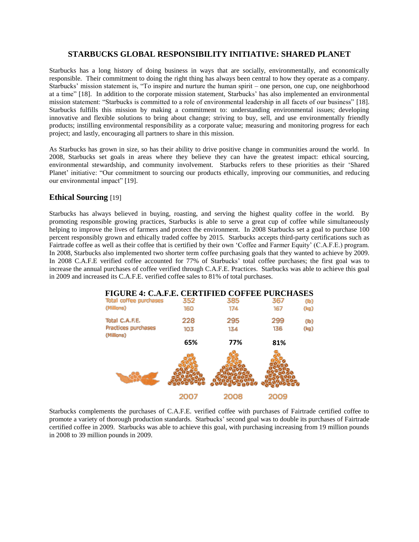## **STARBUCKS GLOBAL RESPONSIBILITY INITIATIVE: SHARED PLANET**

Starbucks has a long history of doing business in ways that are socially, environmentally, and economically responsible. Their commitment to doing the right thing has always been central to how they operate as a company. Starbucks' mission statement is, "To inspire and nurture the human spirit – one person, one cup, one neighborhood at a time" [18]. In addition to the corporate mission statement, Starbucks' has also implemented an environmental mission statement: "Starbucks is committed to a role of environmental leadership in all facets of our business" [18]. Starbucks fulfills this mission by making a commitment to: understanding environmental issues; developing innovative and flexible solutions to bring about change; striving to buy, sell, and use environmentally friendly products; instilling environmental responsibility as a corporate value; measuring and monitoring progress for each project; and lastly, encouraging all partners to share in this mission.

As Starbucks has grown in size, so has their ability to drive positive change in communities around the world. In 2008, Starbucks set goals in areas where they believe they can have the greatest impact: ethical sourcing, environmental stewardship, and community involvement. Starbucks refers to these priorities as their 'Shared Planet' initiative: "Our commitment to sourcing our products ethically, improving our communities, and reducing our environmental impact" [19].

## **Ethical Sourcing** [19]

Starbucks has always believed in buying, roasting, and serving the highest quality coffee in the world. By promoting responsible growing practices, Starbucks is able to serve a great cup of coffee while simultaneously helping to improve the lives of farmers and protect the environment. In 2008 Starbucks set a goal to purchase 100 percent responsibly grown and ethically traded coffee by 2015. Starbucks accepts third-party certifications such as Fairtrade coffee as well as their coffee that is certified by their own 'Coffee and Farmer Equity' (C.A.F.E.) program. In 2008, Starbucks also implemented two shorter term coffee purchasing goals that they wanted to achieve by 2009. In 2008 C.A.F.E verified coffee accounted for 77% of Starbucks' total coffee purchases; the first goal was to increase the annual purchases of coffee verified through C.A.F.E. Practices. Starbucks was able to achieve this goal in 2009 and increased its C.A.F.E. verified coffee sales to 81% of total purchases.

| <b>FIGURE 4: C.A.F.E. CERTIFIED COFFEE PURCHASES</b> |      |      |     |                 |
|------------------------------------------------------|------|------|-----|-----------------|
| Total coffee purchases                               | 352  | 385  | 367 | $(\mathsf{lb})$ |
| (Millions)                                           | 160  | 174  | 167 | (kg)            |
| Total C.A.F.E.                                       | 228  | 295  | 299 | $(\mathsf{lb})$ |
| Practices purchases<br>(Millions)                    | 103  | 134  | 136 | (kg)            |
|                                                      | 65%  | 77%  | 81% |                 |
|                                                      |      |      |     |                 |
|                                                      |      |      |     |                 |
|                                                      | 2007 | 2008 |     |                 |

Starbucks complements the purchases of C.A.F.E. verified coffee with purchases of Fairtrade certified coffee to promote a variety of thorough production standards. Starbucks' second goal was to double its purchases of Fairtrade certified coffee in 2009. Starbucks was able to achieve this goal, with purchasing increasing from 19 million pounds in 2008 to 39 million pounds in 2009.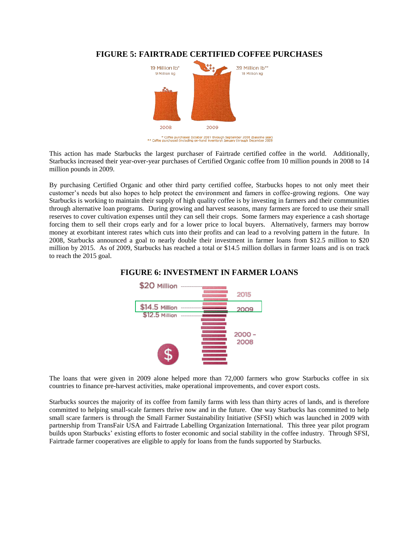

# **FIGURE 5: FAIRTRADE CERTIFIED COFFEE PURCHASES**

\* Coffee purchased October 2007 through September 2008 (baseline year)<br>\*\* Coffee purchased (including on-hand inventory) January through December 2009

This action has made Starbucks the largest purchaser of Fairtrade certified coffee in the world. Additionally, Starbucks increased their year-over-year purchases of Certified Organic coffee from 10 million pounds in 2008 to 14 million pounds in 2009.

By purchasing Certified Organic and other third party certified coffee, Starbucks hopes to not only meet their customer's needs but also hopes to help protect the environment and famers in coffee-growing regions. One way Starbucks is working to maintain their supply of high quality coffee is by investing in farmers and their communities through alternative loan programs. During growing and harvest seasons, many farmers are forced to use their small reserves to cover cultivation expenses until they can sell their crops. Some farmers may experience a cash shortage forcing them to sell their crops early and for a lower price to local buyers. Alternatively, farmers may borrow money at exorbitant interest rates which cuts into their profits and can lead to a revolving pattern in the future. In 2008, Starbucks announced a goal to nearly double their investment in farmer loans from \$12.5 million to \$20 million by 2015. As of 2009, Starbucks has reached a total or \$14.5 million dollars in farmer loans and is on track to reach the 2015 goal.

# **FIGURE 6: INVESTMENT IN FARMER LOANS**



The loans that were given in 2009 alone helped more than 72,000 farmers who grow Starbucks coffee in six countries to finance pre-harvest activities, make operational improvements, and cover export costs.

Starbucks sources the majority of its coffee from family farms with less than thirty acres of lands, and is therefore committed to helping small-scale farmers thrive now and in the future. One way Starbucks has committed to help small scare farmers is through the Small Farmer Sustainability Initiative (SFSI) which was launched in 2009 with partnership from TransFair USA and Fairtrade Labelling Organization International. This three year pilot program builds upon Starbucks' existing efforts to foster economic and social stability in the coffee industry. Through SFSI, Fairtrade farmer cooperatives are eligible to apply for loans from the funds supported by Starbucks.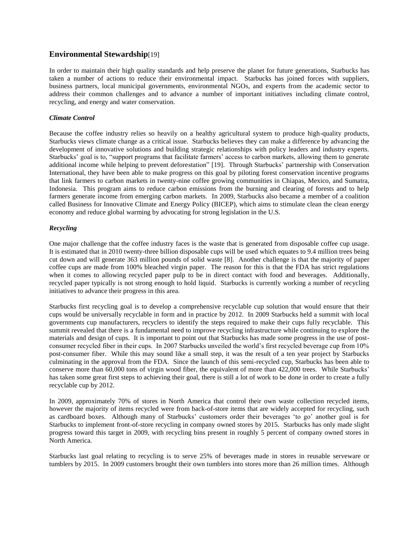## **Environmental Stewardship**[19]

In order to maintain their high quality standards and help preserve the planet for future generations, Starbucks has taken a number of actions to reduce their environmental impact. Starbucks has joined forces with suppliers, business partners, local municipal governments, environmental NGOs, and experts from the academic sector to address their common challenges and to advance a number of important initiatives including climate control, recycling, and energy and water conservation.

#### *Climate Control*

Because the coffee industry relies so heavily on a healthy agricultural system to produce high-quality products, Starbucks views climate change as a critical issue. Starbucks believes they can make a difference by advancing the development of innovative solutions and building strategic relationships with policy leaders and industry experts. Starbucks' goal is to, "support programs that facilitate farmers' access to carbon markets, allowing them to generate additional income while helping to prevent deforestation" [19]. Through Starbucks' partnership with Conservation International, they have been able to make progress on this goal by piloting forest conservation incentive programs that link farmers to carbon markets in twenty-nine coffee growing communities in Chiapas, Mexico, and Sumatra, Indonesia. This program aims to reduce carbon emissions from the burning and clearing of forests and to help farmers generate income from emerging carbon markets. In 2009, Starbucks also became a member of a coalition called Business for Innovative Climate and Energy Policy (BICEP), which aims to stimulate clean the clean energy economy and reduce global warming by advocating for strong legislation in the U.S.

### *Recycling*

One major challenge that the coffee industry faces is the waste that is generated from disposable coffee cup usage. It is estimated that in 2010 twenty-three billion disposable cups will be used which equates to 9.4 million trees being cut down and will generate 363 million pounds of solid waste [8]. Another challenge is that the majority of paper coffee cups are made from 100% bleached virgin paper. The reason for this is that the FDA has strict regulations when it comes to allowing recycled paper pulp to be in direct contact with food and beverages. Additionally, recycled paper typically is not strong enough to hold liquid. Starbucks is currently working a number of recycling initiatives to advance their progress in this area.

Starbucks first recycling goal is to develop a comprehensive recyclable cup solution that would ensure that their cups would be universally recyclable in form and in practice by 2012. In 2009 Starbucks held a summit with local governments cup manufacturers, recyclers to identify the steps required to make their cups fully recyclable. This summit revealed that there is a fundamental need to improve recycling infrastructure while continuing to explore the materials and design of cups. It is important to point out that Starbucks has made some progress in the use of postconsumer recycled fiber in their cups. In 2007 Starbucks unveiled the world's first recycled beverage cup from 10% post-consumer fiber. While this may sound like a small step, it was the result of a ten year project by Starbucks culminating in the approval from the FDA. Since the launch of this semi-recycled cup, Starbucks has been able to conserve more than 60,000 tons of virgin wood fiber, the equivalent of more than 422,000 trees. While Starbucks' has taken some great first steps to achieving their goal, there is still a lot of work to be done in order to create a fully recyclable cup by 2012.

In 2009, approximately 70% of stores in North America that control their own waste collection recycled items, however the majority of items recycled were from back-of-store items that are widely accepted for recycling, such as cardboard boxes. Although many of Starbucks' customers order their beverages 'to go' another goal is for Starbucks to implement front-of-store recycling in company owned stores by 2015. Starbucks has only made slight progress toward this target in 2009, with recycling bins present in roughly 5 percent of company owned stores in North America.

Starbucks last goal relating to recycling is to serve 25% of beverages made in stores in reusable serveware or tumblers by 2015. In 2009 customers brought their own tumblers into stores more than 26 million times. Although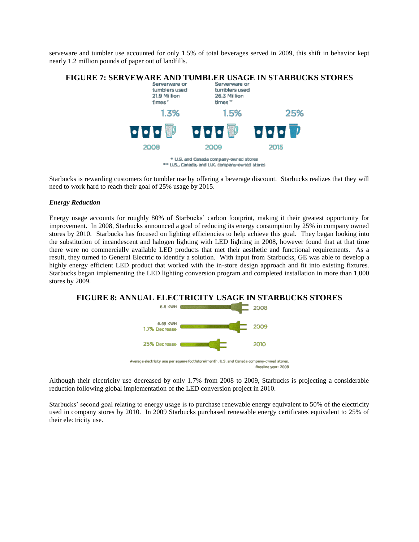serveware and tumbler use accounted for only 1.5% of total beverages served in 2009, this shift in behavior kept nearly 1.2 million pounds of paper out of landfills.



Starbucks is rewarding customers for tumbler use by offering a beverage discount. Starbucks realizes that they will need to work hard to reach their goal of 25% usage by 2015.

#### *Energy Reduction*

Energy usage accounts for roughly 80% of Starbucks' carbon footprint, making it their greatest opportunity for improvement. In 2008, Starbucks announced a goal of reducing its energy consumption by 25% in company owned stores by 2010. Starbucks has focused on lighting efficiencies to help achieve this goal. They began looking into the substitution of incandescent and halogen lighting with LED lighting in 2008, however found that at that time there were no commercially available LED products that met their aesthetic and functional requirements. As a result, they turned to General Electric to identify a solution. With input from Starbucks, GE was able to develop a highly energy efficient LED product that worked with the in-store design approach and fit into existing fixtures. Starbucks began implementing the LED lighting conversion program and completed installation in more than 1,000 stores by 2009.



Although their electricity use decreased by only 1.7% from 2008 to 2009, Starbucks is projecting a considerable reduction following global implementation of the LED conversion project in 2010.

Starbucks' second goal relating to energy usage is to purchase renewable energy equivalent to 50% of the electricity used in company stores by 2010. In 2009 Starbucks purchased renewable energy certificates equivalent to 25% of their electricity use.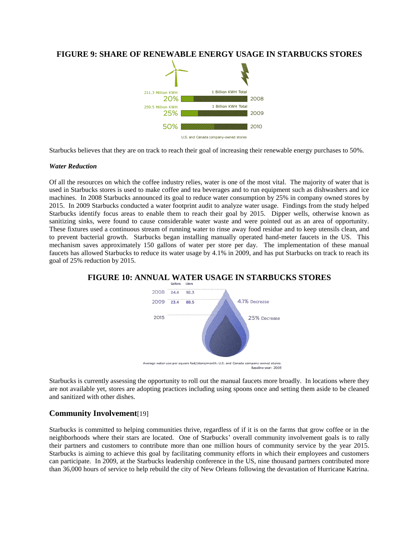## **FIGURE 9: SHARE OF RENEWABLE ENERGY USAGE IN STARBUCKS STORES**



Starbucks believes that they are on track to reach their goal of increasing their renewable energy purchases to 50%.

#### *Water Reduction*

Of all the resources on which the coffee industry relies, water is one of the most vital. The majority of water that is used in Starbucks stores is used to make coffee and tea beverages and to run equipment such as dishwashers and ice machines. In 2008 Starbucks announced its goal to reduce water consumption by 25% in company owned stores by 2015. In 2009 Starbucks conducted a water footprint audit to analyze water usage. Findings from the study helped Starbucks identify focus areas to enable them to reach their goal by 2015. Dipper wells, otherwise known as sanitizing sinks, were found to cause considerable water waste and were pointed out as an area of opportunity. These fixtures used a continuous stream of running water to rinse away food residue and to keep utensils clean, and to prevent bacterial growth. Starbucks began installing manually operated hand-meter faucets in the US. This mechanism saves approximately 150 gallons of water per store per day. The implementation of these manual faucets has allowed Starbucks to reduce its water usage by 4.1% in 2009, and has put Starbucks on track to reach its goal of 25% reduction by 2015.

# **FIGURE 10: ANNUAL WATER USAGE IN STARBUCKS STORES**



Average water use per square foot/store/month. U.S. and Canada company-owned stores Baseline vear: 2008

Starbucks is currently assessing the opportunity to roll out the manual faucets more broadly. In locations where they are not available yet, stores are adopting practices including using spoons once and setting them aside to be cleaned and sanitized with other dishes.

### **Community Involvement**[19]

Starbucks is committed to helping communities thrive, regardless of if it is on the farms that grow coffee or in the neighborhoods where their stars are located. One of Starbucks' overall community involvement goals is to rally their partners and customers to contribute more than one million hours of community service by the year 2015. Starbucks is aiming to achieve this goal by facilitating community efforts in which their employees and customers can participate. In 2009, at the Starbucks leadership conference in the US, nine thousand partners contributed more than 36,000 hours of service to help rebuild the city of New Orleans following the devastation of Hurricane Katrina.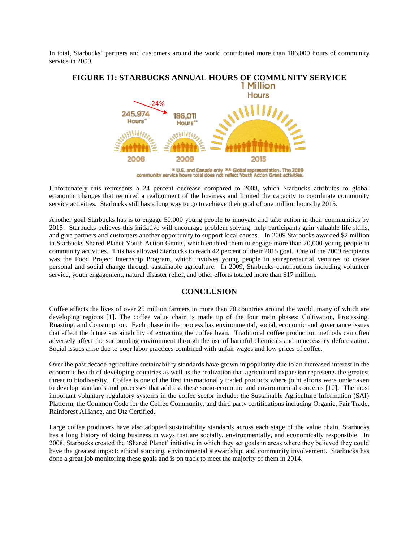In total, Starbucks' partners and customers around the world contributed more than 186,000 hours of community service in 2009.



\* U.S. and Canada only \*\* Global representation. The 2009 community service hours total does not reflect Youth Action Grant activities.

Unfortunately this represents a 24 percent decrease compared to 2008, which Starbucks attributes to global economic changes that required a realignment of the business and limited the capacity to coordinate community service activities. Starbucks still has a long way to go to achieve their goal of one million hours by 2015.

Another goal Starbucks has is to engage 50,000 young people to innovate and take action in their communities by 2015. Starbucks believes this initiative will encourage problem solving, help participants gain valuable life skills, and give partners and customers another opportunity to support local causes. In 2009 Starbucks awarded \$2 million in Starbucks Shared Planet Youth Action Grants, which enabled them to engage more than 20,000 young people in community activities. This has allowed Starbucks to reach 42 percent of their 2015 goal. One of the 2009 recipients was the Food Project Internship Program, which involves young people in entrepreneurial ventures to create personal and social change through sustainable agriculture. In 2009, Starbucks contributions including volunteer service, youth engagement, natural disaster relief, and other efforts totaled more than \$17 million.

## **CONCLUSION**

Coffee affects the lives of over 25 million farmers in more than 70 countries around the world, many of which are developing regions [1]. The coffee value chain is made up of the four main phases: Cultivation, Processing, Roasting, and Consumption. Each phase in the process has environmental, social, economic and governance issues that affect the future sustainability of extracting the coffee bean. Traditional coffee production methods can often adversely affect the surrounding environment through the use of harmful chemicals and unnecessary deforestation. Social issues arise due to poor labor practices combined with unfair wages and low prices of coffee.

Over the past decade agriculture sustainability standards have grown in popularity due to an increased interest in the economic health of developing countries as well as the realization that agricultural expansion represents the greatest threat to biodiversity. Coffee is one of the first internationally traded products where joint efforts were undertaken to develop standards and processes that address these socio-economic and environmental concerns [10]. The most important voluntary regulatory systems in the coffee sector include: the Sustainable Agriculture Information (SAI) Platform, the Common Code for the Coffee Community, and third party certifications including Organic, Fair Trade, Rainforest Alliance, and Utz Certified.

Large coffee producers have also adopted sustainability standards across each stage of the value chain. Starbucks has a long history of doing business in ways that are socially, environmentally, and economically responsible. In 2008, Starbucks created the 'Shared Planet' initiative in which they set goals in areas where they believed they could have the greatest impact: ethical sourcing, environmental stewardship, and community involvement. Starbucks has done a great job monitoring these goals and is on track to meet the majority of them in 2014.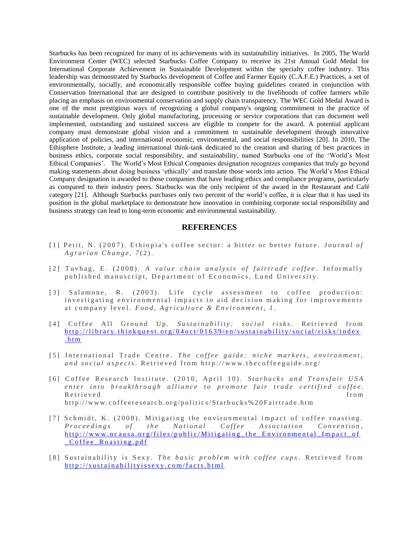Starbucks has been recognized for many of its achievements with its sustainability initiatives. In 2005, The World Environment Center (WEC) selected Starbucks Coffee Company to receive its 21st Annual Gold Medal for International Corporate Achievement in Sustainable Development within the specialty coffee industry. This leadership was demonstrated by Starbucks development of Coffee and Farmer Equity (C.A.F.E.) Practices, a set of environmentally, socially, and economically responsible coffee buying guidelines created in conjunction with Conservation International that are designed to contribute positively to the livelihoods of coffee farmers while placing an emphasis on environmental conservation and supply chain transparency. The WEC Gold Medal Award is one of the most prestigious ways of recognizing a global company's ongoing commitment to the practice of sustainable development. Only global manufacturing, processing or service corporations that can document well implemented, outstanding and sustained success are eligible to compete for the award. A potential applicant company must demonstrate global vision and a commitment to sustainable development through innovative application of policies, and international economic, environmental, and social responsibilities [20]. In 2010, The Ethisphere Institute, a leading international think-tank dedicated to the creation and sharing of best practices in business ethics, corporate social responsibility, and sustainability, named Starbucks one of the 'World's Most Ethical Companies'. The World's Most Ethical Companies designation recognizes companies that truly go beyond making statements about doing business 'ethically' and translate those words into action. The World's Most Ethical Company designation is awarded to those companies that have leading ethics and compliance programs, particularly as compared to their industry peers. Starbucks was the only recipient of the award in the Restaurant and Café category [21]. Although Starbucks purchases only two percent of the world's coffee, it is clear that it has used its position in the global marketplace to demonstrate how innovation in combining corporate social responsibility and business strategy can lead to long-term economic and environmental sustainability.

#### **REFERENCES**

- [1] Petit, N. (2007). Ethiopia's coffee sector: a bitter or better future. *Journal of A g r a r i a n C h a n g e* , *7* ( 2 ) .
- [2] Tuvhag, E. (2008). A value chain analysis of fairtrade coffee. Informally published manuscript, Department of Economics, Lund University.
- [3] Salamone, R. (2003). Life cycle assessment to coffee production: investigating environmental impacts to aid decision making for improvements at company level. *Food, Agriculture & Environment*, 1.
- [4] Coffee All Ground Up. Sustainability: social risks. Retrieved from http://library.thinkquest.org/04oct/01639/en/sustainability/social/risks/index  $.$ ht m
- [5] International Trade Centre. The coffee guide: niche markets, environment, and social aspects. Retrieved from http://www.thecoffeeguide.org/
- [6] Coffee Research Institute. (2010, April 10). *Starbucks and Transfair USA* enter into breakthrough alliance to promote fair trade certified coffee. R e trie v e d<sup>erect</sup>ries en el commune de la commune de la commune de la commune de la commune de la commune de la commune de la commune de la commune de la commune de la commune de la commune de la commune de la commune http://www.coffeeresearch.org/politics/Starbucks%20Fairtrade.htm
- [7] Schmidt, K. (2008). Mitigating the environmental impact of coffee roasting. *Proceedings of the National Coffee Association Convention,* http://www.ncausa.org/files/public/Mitigating the Environmental Impact of C o f f e e R o a s t i n g . p d f
- [8] Sustainability is Sexy. *The basic problem with coffee cups*. Retrieved from http://sustainabilityissexy.com/facts.html